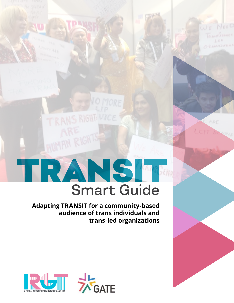# TRANSIT Smart Guide

TRANS RIGHT. VIC

**Adapting TRANSIT for a community-based audience of trans individuals and trans-led organizations**



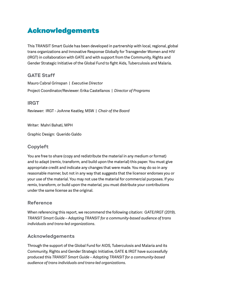# Acknowledgements

This TRANSIT Smart Guide has been developed in partnership with local, regional, global trans organizations and Innovative Response Globally for Transgender Women and HIV (IRGT) in collaboration with GATE and with support from the Community, Rights and Gender Strategic Initiative of the Global Fund to fight Aids, Tuberculosis and Malaria.

GATE Staff

Mauro Cabral Grinspan | *Executive Director* Project Coordinator/Reviewer: Erika Castellanos | *Director of Programs*

IRGT

Reviewer: IRGT - JoAnne Keatley, MSW | *Chair of the Board*

Writer: Mahri Bahati, MPH

Graphic Design: Querido Galdo

## Copyleft

You are free to share (copy and redistribute the material in any medium or format) and to adapt (remix, transform, and build upon the material) this paper. You must give appropriate credit and indicate any changes that were made. You may do so in any reasonable manner, but not in any way that suggests that the licensor endorses you or your use of the material. You may not use the material for commercial purposes. If you remix, transform, or build upon the material, you must distribute your contributions under the same license as the original.

## Reference

When referencing this report, we recommend the following citation: GATE/IRGT (2019). *TRANSIT Smart Guide – Adapting TRANSIT for a community-based audience of trans individuals and trans-led organizations*.

## Acknowledgements

Through the support of the Global Fund for AIDS, Tuberculosis and Malaria and its Community, Rights and Gender Strategic Initiative, GATE & IRGT have successfully produced this *TRANSIT Smart Guide – Adapting TRANSIT for a community-based audience of trans individuals and trans-led organizations*.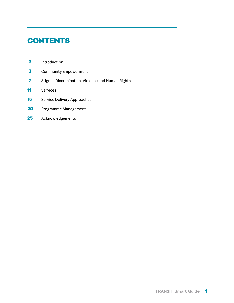# **CONTENTS**

- 2 Introduction
- **3** Community Empowerment
- 7 Stigma, Discrimination, Violence and Human Rights
- 11 Services
- 15 Service Delivery Approaches
- 20 Programme Management
- 25 Acknowledgements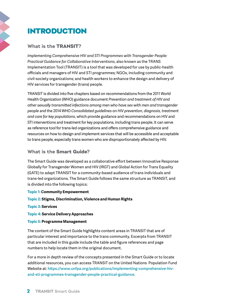# INTRODUCTION

## What is the TRANSIT?

*Implementing Comprehensive HIV and STI Programmes with Transgender People: Practical Guidance for Collaborative Interventions*, also known as the TRANS Implementation Tool (TRANSIT) is a tool that was developed for use by public-health officials and managers of HIV and STI programmes; NGOs, including community and civil-society organizations; and health workers to enhance the design and delivery of HIV services for transgender (trans) people.

TRANSIT is divided into five chapters based on recommendations from the 2011 World Health Organization (WHO) guidance document *Prevention and treatment of HIV and other sexually transmitted infections among men who have sex with men and transgender people* and the 2014 WHO *Consolidated guidelines on HIV prevention, diagnosis, treatment and care for key populations*, which provide guidance and recommendations on HIV and STI interventions and treatment for key populations, including trans people. It can serve as reference tool for trans-led organizations and offers comprehensive guidance and resources on how to design and implement services that will be accessible and acceptable to trans people, especially trans women who are disproportionately affected by HIV.

## What is the Smart Guide?

The Smart Guide was developed as a collaborative effort between Innovative Response Globally for Transgender Women and HIV (IRGT) and Global Action for Trans Equality (GATE) to adapt TRANSIT for a community-based audience of trans individuals and trans-led organizations. The Smart Guide follows the same structure as TRANSIT, and is divided into the following topics:

## **Topic 1: Community Empowerment**

**Topic 2: Stigma, Discrimination, Violence and Human Rights**

#### **Topic 3: Services**

**Topic 4: Service Delivery Approaches**

#### **Topic 5: Programme Management**

The content of the Smart Guide highlights content areas in TRANSIT that are of particular interest and importance to the trans community. Excerpts from TRANSIT that are included in this guide include the table and figure references and page numbers to help locate them in the original document.

For a more in depth review of the concepts presented in the Smart Guide or to locate additional resources, you can access TRANSIT on the United Nations Population Fund Website at: **[https://www.unfpa.org/publications/implementing-comprehensive-hiv](https://www.unfpa.org/publications/implementing-comprehensive-hiv-and-sti-programmes-transgender-people-practical-guidance)[and-sti-programmes-transgender-people-practical-guidance](https://www.unfpa.org/publications/implementing-comprehensive-hiv-and-sti-programmes-transgender-people-practical-guidance)**.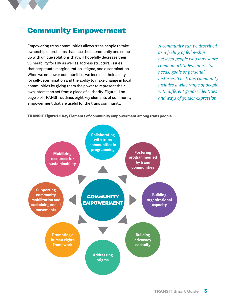

# Community Empowerment

Empowering trans communities allows trans people to take ownership of problems that face their community and come up with unique solutions that will hopefully decrease their vulnerability for HIV as well as address structural issues that perpetuate marginalization, stigma, and discrimination. When we empower communities, we increase their ability for self-determination and the ability to make change in local communities by giving them the power to represent their own interest an act from a place of authority. Figure 1.1 on page 5 of TRANSIT outlines eight key elements of community empowerment that are useful for the trans community.

*A community can be described as a feeling of fellowship between people who may share common attitudes, interests, needs, goals or personal histories. The trans community includes a wide range of people with different gender identities and ways of gender expression.*

#### TRANSIT Figure 1.1 **Key Elements of community empowerment among trans people**

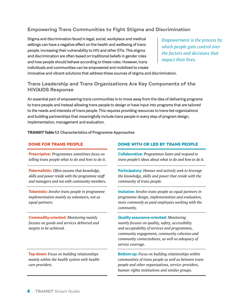## Empowering Trans Communities to Fight Stigma and Discrimination

Stigma and discrimination faced in legal, social, workplace and medical settings can have a negative effect on the health and wellbeing of trans people, increasing their vulnerability to HIV and other STIs. This stigma and discrimination are often based on traditional beliefs in gender roles and how people should behave according to these rules. However, trans individuals and communities can be empowered and mobilized to create

*Empowerment is the process by which people gain control over the factors and decisions that impact their lives.*

innovative and vibrant solutions that address these sources of stigma and discrimination.

## Trans Leadership and Trans Organizations Are Key Components of the HIV/AIDS Response

An essential part of empowering trans communities is to move away from the idea of delivering programs to trans people and instead allowing trans people to design or have input into programs that are tailored to the needs and interests of trans people. This requires providing resources to trans-led organizations and building partnerships that meaningfully include trans people in every step of program design, implementation, management and evaluation.

TRANSIT Table 1.1 **Characteristics of Programme Approaches**

**Prescriptive:** *Programmes sometimes focus on telling trans people what to do and how to do it.*

**Paternalistic:** *Often assume that knowledge, skills and power reside with the programme staff and managers and not with community members.*

**Tokenistic:** *Involve trans people in programme implementation mainly as volunteers, not as equal partners.*

**Commodity-oriented:** *Monitoring mainly focuses on goods and services delivered and targets to be achieved.*

**Top-down:** *Focus on building relationships mainly within the health system with healthcare providers.*

## DONE FOR TRANS PEOPLE DONE WITH OR LED BY TRANS PEOPLE

**Collaborative:** *Programmes listen and respond to trans people's ideas about what to do and how to do it.*

**Participatory:** *Honour and actively seek to leverage the knowledge, skills and power that reside with the community of trans people.*

**Inclusive:** *Involve trans people as equal partners in programme design, implementation and evaluation, more commonly as paid employees working with the community.*

**Quality assurance-oriented:** *Monitoring mainly focuses on quality, safety, accessibility and acceptability of services and programmes, community engagement, community cohesion and community connectedness, as well as adequacy of service coverage.*

**Bottom-up:** *Focus on building relationships within communities of trans people as well as between trans people and other organizations, service-providers, human-rights institutions and similar groups.*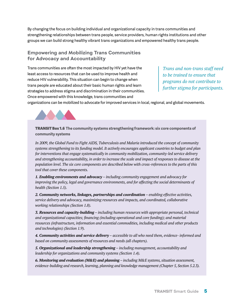By changing the focus on building individual and organizational capacity in trans communities and strengthening relationships between trans people, service providers, human rights institutions and other groups we can build strong healthy vibrant trans organizations and empowered healthy trans people.

## Empowering and Mobilizing Trans Communities for Advocacy and Accountability

Trans communities are often the most impacted by HIV yet have the least access to resources that can be used to improve health and reduce HIV vulnerability. This situation can begin to change when trans people are educated about their basic human rights and learn strategies to address stigma and discrimination in their communities. Once empowered with this knowledge, trans communities and

*Trans and non-trans staff need to be trained to ensure that programs do not contribute to further stigma for participants.* 

organizations can be mobilized to advocate for improved services in local, regional, and global movements.



TRANSIT Box 1.6 **The community systems strengthening framework: six core components of community systems**

*In 2009, the Global Fund to Fight AIDS, Tuberculosis and Malaria introduced the concept of community systems strengthening to its funding model. It actively encourages applicant countries to budget and plan for interventions that engage systematically in community mobilization, community-led service delivery and strengthening accountability, in order to increase the scale and impact of responses to disease at the population level. The six core components are described below with cross-references to the parts of this tool that cover these components.*

*1. Enabling environments and advocacy – including community engagement and advocacy for improving the policy, legal and governance environments, and for affecting the social determinants of health (Section 1.5).*

*2. Community networks, linkages, partnerships and coordination – enabling effective activities, service delivery and advocacy, maximizing resources and impacts, and coordinated, collaborative working relationships (Section 1.8).*

*3. Resources and capacity-building – including human resources with appropriate personal, technical and organizational capacities; financing (including operational and core funding); and material resources (infrastructure, information and essential commodities, including medical and other products and technologies) (Section 1.9).*

*4. Community activities and service delivery – accessible to all who need them, evidence- informed and based on community assessments of resources and needs (all chapters).*

*5. Organizational and leadership strengthening – including management, accountability and leadership for organizations and community systems (Section 1.4).*

*6. Monitoring and evaluation (M&E) and planning – including M&E systems, situation assessment, evidence-building and research, learning, planning and knowledge management (Chapter 5, Section 5.2.3).*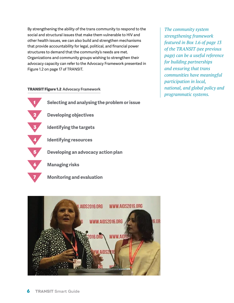By strengthening the ability of the trans community to respond to the social and structural issues that make them vulnerable to HIV and other health issues, we can also build and strengthen mechanisms that provide accountability for legal, political, and financial power structures to demand that the community's needs are met. Organizations and community groups wishing to strengthen their advocacy capacity can refer to the Advocacy Framework presented in Figure 1.2 on page 17 of TRANSIT.

#### TRANSIT Figure 1.2 **Advocacy Framework**

 **Selecting and analysing the problem or issue Developing objectives Identifying the targets Identifying resources Developing an advocacy action plan Managing risks**





*The community system strengthening framework featured in Box 1.6 of page 13 of the TRANSIT (see previous page) can be a useful reference for building partnerships and ensuring that trans communities have meaningful participation in local, national, and global policy and programmatic systems.*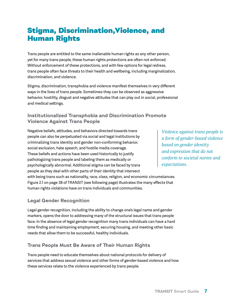# Stigma, Discrimination,Violence, and Human Rights

Trans people are entitled to the same inalienable human rights as any other person, yet for many trans people, these human rights protections are often not enforced. Without enforcement of these protections, and with few options for legal redress, trans people often face threats to their health and wellbeing, including marginalization, discrimination, and violence.

Stigma, discrimination, transphobia and violence manifest themselves in very different ways in the lives of trans people. Sometimes they can be observed as aggressive behavior, hostility, disgust and negative attitudes that can play out in social, professional and medical settings.

## Institutionalized Transphobia and Discrimination Promote Violence Against Trans People

Negative beliefs, attitudes, and behaviors directed towards trans people can also be perpetuated via social and legal institutions by criminalizing trans identity and gender non-conforming behavior, social exclusion, hate speech, and hostile media coverage. These beliefs and actions have been used historically to justify pathologizing trans people and labeling them as medically or psychologically abnormal. Additional stigma can be faced by trans people as they deal with other parts of their identity that intersect with being trans such as nationality, race, class, religion, and economic circumstances. Figure 2.1 on page 38 of TRANSIT (see following page) illustrates the many effects that

human rights violations have on trans individuals and communities.

*Violence against trans people is a form of gender-based violence based on gender identity and expression that do not conform to societal norms and expectations.*

## Legal Gender Recognition

Legal gender recognition, including the ability to change one's legal name and gender markers, opens the door to addressing many of the structural issues that trans people face. In the absence of legal gender recognition many trans individuals can have a hard time finding and maintaining employment, securing housing, and meeting other basic needs that allow them to be successful, healthy individuals.

## Trans People Must Be Aware of Their Human Rights

Trans people need to educate themselves about national protocols for delivery of services that address sexual violence and other forms of gender-based violence and how these services relate to the violence experienced by trans people.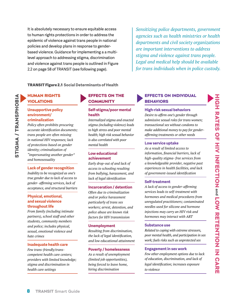It is absolutely necessary to ensure equitable access to human rights protections in order to address the epidemic of violence against trans people in national policies and develop plans in response to genderbased violence. Guidance for implementing a a multilevel approach to addressing stigma, discrimination and violence against trans people is outlined in Figure 2.2 on page 58 of TRANSIT (see following page).

*Sensitizing police departments, government agencies such as health ministries or health departments and civil society organizations are important interventions to address stigma and violence against trans people. Legal and medical help should be available for trans individuals when in police custody.* 

#### TRANSIT Figure 2.1 **Social Determinants of Health**

HUMAN RIGHTS VIOLATIONS

#### **Unsupportive policy environment/ criminalization**

*Policy often prohibits procuring accurate identification documents; trans people are often missing in national HIV responses; lack of protections based on gender identity; criminalization of "impersonating another gender" and homosexuality*

#### **Lack of gender recognition**

*Inability to be recognized as one's true gender due to lack of access to gender- affirming services, lack of acceptance, and structural barriers*

#### **Physical, emotional, and sexual violence throughout life**

*From family (including intimate partners), school staff and other students, community members and police; includes physical, sexual, emotional violence and hate crimes*

#### **Inadequate health care**

*Few trans-friendly/transcompetent health care centers; providers with limited knowledge; stigma and discrimination in health care settings*

## EFFECTS ON THE **COMMUNITY**

#### **Self-stigma/poor mental health**

*Internalized stigma and enacted stigma (including violence) leads to high stress and poor mental health; high risk sexual behavior is also correlated with poor mental health*

#### **Low educational achievement**

*Early drop-out of and lack of access to schooling resulting from bullying, harassment, and lack of legal identification*

#### **Incarceration / detention**

*Often due to criminalization and/or police harassment particularly of trans sex workers; arrest, detention, and police abuse are known risk factors for HIV transmission*

#### **Unemployment**

*Resulting from discrimination, the lack of legal identification, and low educational attainment*

#### **Poverty / homelessness**

*As a result of unemployment (limited job opportunities), being forced to leave home, hiring discrimination*

#### EFFECTS ON INDIVIDUAL **BEHAVIORS**

#### **High-risk sexual behaviors**

*Desire to affirm one's gender through submissive sexual roles for trans women; transactional sex without condoms to make additional money to pay for genderaffirming treatments or other needs*

#### **Low service uptake**

*As a result of limited access to information, financial barriers, lack of high-quality stigma- free services from a knowledgeable provider, negative past experiences in health facilities, and lack of government-issued identification*

#### **Self-treatment**

*A lack of access to gender-affirming services leads to self-treatment with hormones and medical procedures from unregulated practitioners; contaminated needles used for silicone and hormone injections may carry an HIV risk and hormones may interact with ART*

#### **Substance use**

*Related to coping with extreme stressors, poor mental health, and participation in sex work; fuels risks such as unprotected sex*

#### **Engagement in sex work**

*Few other employment options due to lack of education, discrimination, and lack of legal identification; increases exposure to violence*

**TRANSIT Smart Guide**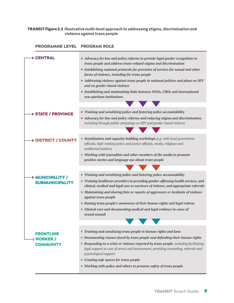#### TRANSIT Figure 2.2 **Illustrative multi-level approach to addressing stigma, discrimination and violence against trans people**

## PROGRAMME LEVEL PROGRAM ROLE

| ▶ CENTRAL                             | • Advocacy for law and policy reforms to provide legal gender recognition to                                                                                                      |
|---------------------------------------|-----------------------------------------------------------------------------------------------------------------------------------------------------------------------------------|
|                                       | trans people and address trans-related stigma and discrimination                                                                                                                  |
|                                       | • Establishing national protocols for provision of services for sexual and other<br>forms of violence, including for trans people                                                 |
|                                       | • Addressing violence against trans people in national policies and plans on HIV<br>and on gender-based violence                                                                  |
|                                       | • Establishing and maintaining links between NGOs, CBOs and international<br>non-partisan institutions.                                                                           |
|                                       | <b>The Common Service</b>                                                                                                                                                         |
| → STATE / PROVINCE                    | • Training and sensitizing police and fostering police accountability                                                                                                             |
|                                       | • Advocacy for law and policy reforms and reducing stigma and discrimination,<br>including through public campaings on HIV and gender-based violence                              |
|                                       |                                                                                                                                                                                   |
| <b>+ DISTRICT / COUNTY</b>            | • Sensitization and capacity-building workshops (e.g. with local government<br>officials, high-ranking police and justice officials, media, religious and<br>traditional leaders) |
|                                       | • Working with journalists and other members of the media to promote<br>positive stories and language use about trans people                                                      |
|                                       |                                                                                                                                                                                   |
| → MUNICIPALITY /                      | • Training and sensitizing police and fostering police accountability                                                                                                             |
| <b>SUBMUNICIPALITY</b>                | • Training healthcare providers in providing gender-affirming health services, and<br>clinical, medical and legal care to survivors of violence, and appropriate referrals        |
|                                       | • Maintaining and sharing lists or reports of aggressors or incidents of violence<br>against trans people                                                                         |
|                                       | • Raising trans people's awareness of their human rights and legal redress                                                                                                        |
|                                       | • Clinical care and documenting medical and legal evidence in cases of<br>sexual assault                                                                                          |
|                                       |                                                                                                                                                                                   |
|                                       | Training and sensitizing trans people in human rights and laws<br>$\bullet$                                                                                                       |
| <b>FRONTLINE</b><br><b>I WORKER /</b> | • Documenting vioence faced by trans people and defending their human rights                                                                                                      |
| <b>COMMUNITY</b>                      | • Responding to a crisis or violence reported by trans people, including facilitating                                                                                             |
|                                       | legal support in case of arrest and harrassment, providing counseling, referrals and<br>psychological support                                                                     |
|                                       | Creating safe spaces for trans people                                                                                                                                             |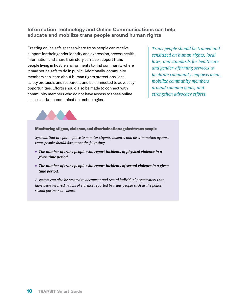## Information Technology and Online Communications can help educate and mobilize trans people around human rights

Creating online safe spaces where trans people can receive support for their gender identity and expression, access health information and share their story can also support trans people living in hostile environments to find community where it may not be safe to do in public. Additionally, community members can learn about human rights protections, local safety protocols and resources, and be connected to advocacy opportunities. Efforts should also be made to connect with community members who do not have access to these online spaces and/or communication technologies.

*Trans people should be trained and sensitized on human rights, local laws, and standards for healthcare and gender-affirming services to facilitate community empowerment, mobilize community members around common goals, and strengthen advocacy efforts.* 



#### Monitoring stigma, violence, and discrimination against trans people

*Systems that are put in place to monitor stigma, violence, and discrimination against trans people should document the following:*

- *The number of trans people who report incidents of physical violence in a given time period.*
- *The number of trans people who report incidents of sexual violence in a given time period.*

*A system can also be created to document and record individual perpetrators that have been involved in acts of violence reported by trans people such as the police, sexual partners or clients.*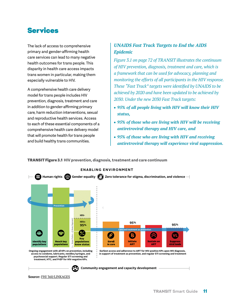## Services

The lack of access to comprehensive primary and gender-affirming health care services can lead to many negative health outcomes for trans people. This disparity in health care access impacts trans women in particular, making them especially vulnerable to HIV.

A comprehensive health care delivery model for trans people includes HIV prevention, diagnosis, treatment and care in addition to gender-affirming primary care, harm reduction interventions, sexual and reproductive health services. Access to each of these essential components of a comprehensive health care delivery model that will promote health for trans people and build healthy trans communities.

## *UNAIDS Fast Track Targets to End the AIDS Epidemic*

*Figure 3.1 on page 72 of TRANSIT illustrates the continuum of HIV prevention, diagnosis, treatment and care, which is a framework that can be used for advocacy, planning and monitoring the efforts of all participants in the HIV response. These "Fast Track" targets were identified by UNAIDS to be achieved by 2020 and have been updated to be achieved by 2030. Under the new 2030 Fast Track targets:* 

- *95% of all people living with HIV will know their HIV status,*
- *95% of those who are living with HIV will be receiving antiretroviral therapy and HIV care, and*
- *95% of those who are living with HIV and receiving*  antives.<br> **Casabia** *antiretroviral therapy will experience viral suppression.*



TRANSIT Figure 3.1 **HIV prevention, diagnosis, treatment and care continuum**

**Source:** [FHI 360/LINKAGES](https://www.fhi360.org/projects/linkages-across-continuum-hiv-services-key-populations-affected-hiv-linkages)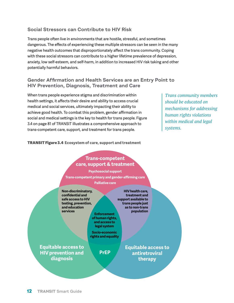## Social Stressors can Contribute to HIV Risk

Trans people often live in environments that are hostile, stressful, and sometimes dangerous. The effects of experiencing these multiple stressors can be seen in the many negative health outcomes that disproportionately affect the trans community. Coping with these social stressors can contribute to a higher lifetime prevalence of depression, anxiety, low self-esteem, and self-harm, in addition to increased HIV risk taking and other potentially harmful behaviors.

## Gender Affirmation and Health Services are an Entry Point to HIV Prevention, Diagnosis, Treatment and Care

When trans people experience stigma and discrimination within health settings, it affects their desire and ability to access crucial medical and social services, ultimately impacting their ability to achieve good health. To combat this problem, gender affirmation in social and medical settings is the key to health for trans people. Figure 3.4 on page 81 of TRANSIT illustrates a comprehensive approach to trans-competent care, support, and treatment for trans people.

*Trans community members should be educated on mechanisms for addressing human rights violations within medical and legal systems.*

#### TRANSIT Figure 3.4 **Ecosystem of care, support and treatment**

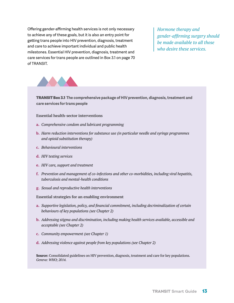Offering gender-affirming health services is not only necessary to achieve any of these goals, but it is also an entry point for getting trans people into HIV prevention, diagnosis, treatment and care to achieve important individual and public health milestones. Essential HIV prevention, diagnosis, treatment and care services for trans people are outlined in Box 3.1 on page 70 of TRANSIT.

*Hormone therapy and gender-affirming surgery should be made available to all those who desire these services.*



TRANSIT Box 3.1 **The comprehensive package of HIV prevention, diagnosis, treatment and care services for trans people**

#### **Essential health-sector interventions**

- **a.** *Comprehensive condom and lubricant programming*
- **b.** *Harm reduction interventions for substance use (in particular needle and syringe programmes and opioid substitution therapy)*
- **c.** *Behavioural interventions*
- **d.** *HIV testing services*
- **e.** *HIV care, support and treatment*
- **f.** *Prevention and management of co-infections and other co-morbidities, including viral hepatitis, tuberculosis and mental-health conditions*
- **g.** *Sexual and reproductive health interventions*

#### **Essential strategies for an enabling environment**

- **a.** *Supportive legislation, policy, and financial commitment, including decriminalization of certain behaviours of key populations (see Chapter 2)*
- **b.** *Addressing stigma and discrimination, including making health services available, accessible and acceptable (see Chapter 2)*
- **c.** *Community empowerment (see Chapter 1)*
- **d.** *Addressing violence against people from key populations (see Chapter 2)*

**Source:** Consolidated guidelines on HIV prevention, diagnosis, treatment and care for key populations*. Geneva: WHO; 2014.*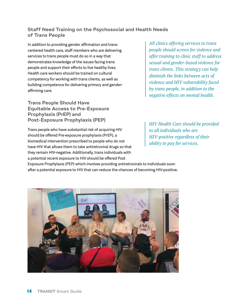## Staff Need Training on the Psychosocial and Health Needs of Trans People

In addition to providing gender affirmation and transcentered health care, staff members who are delivering services to trans people must do so in a way that demonstrates knowledge of the issues facing trans people and support their efforts to live healthy lives. Health care workers should be trained on cultural competency for working with trans clients, as well as building competence for delivering primary and genderaffirming care.

Trans People Should Have Equitable Access to Pre-Exposure Prophylaxis (PrEP) and Post-Exposure Prophylaxis (PEP)

Trans people who have substantial risk of acquiring HIV should be offered Pre-exposure prophylaxis (PrEP), a biomedical intervention prescribed to people who do not have HIV that allows them to take antiretroviral drugs so that they remain HIV-negative. Additionally, trans individuals with a potential recent exposure to HIV should be offered Post

*All clinics offering services to trans people should screen for violence and offer training to clinic staff to address sexual and gender-based violence for trans clients. This strategy can help diminish the links between acts of violence and HIV vulnerability faced by trans people, in addition to the negative effects on mental health.*

*HIV Health Care should be provided to all individuals who are HIV-positive regardless of their ability to pay for services.*

Exposure Prophylaxis (PEP) which involves providing antiretrovirals to individuals soon after a potential exposure to HIV that can reduce the chances of becoming HIV-positive.

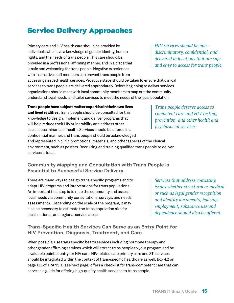# Service Delivery Approaches

Primary care and HIV health care should be provided by individuals who have a knowledge of gender identity, human rights, and the needs of trans people. This care should be provided in a professional affirming manner, and in a place that is safe and welcoming for trans people. Negative experiences with insensitive staff members can prevent trans people from accessing needed health services. Proactive steps should be taken to ensure that clinical services to trans people are delivered appropriately. Before beginning to deliver services organizations should meet with local community members to map out the community,

*HIV services should be nondiscriminatory, confidential, and delivered in locations that are safe and easy to access for trans people.*

understand local needs, and tailor services to meet the needs of the local population.

**Trans people have subject matter expertise in their own lives and lived realities.** Trans people should be consulted for this knowledge to design, implement and deliver programs that will help reduce their HIV vulnerability and address other social determinants of health. Services should be offered in a confidential manner, and trans people should be acknowledged and represented in clinic promotional materials, and other aspects of the clinical environment, such as posters. Recruiting and training qualified trans people to deliver services is ideal. *Trans people deserve access to competent care and HIV testing, prevention, and other health and psychosocial services.*

## Community Mapping and Consultation with Trans People is Essential to Successful Service Delivery

There are many ways to design trans-specific programs and to adapt HIV programs and interventions for trans populations. An important first step is to map the community and assess local needs via community consultations, surveys, and needs assessments. Depending on the scale of the program, it may also be necessary to estimate the trans population size for local, national, and regional service areas.

*Services that address coexisting issues whether structural or medical or such as legal gender recognition and identity documents, housing, employment, substance use and dependence should also be offered.* 

## Trans-Specific Health Services Can Serve as an Entry Point for HIV Prevention, Diagnosis, Treatment, and Care

When possible, use trans specific health services including hormone therapy and other gender affirming services which will attract trans people to your program and be a valuable point of entry for HIV care. HIV-related care primary care and STI services should be integrated within the context of trans-specific healthcare as well. Box 4.2 on page 122 of TRANSIT (see next page) offers a checklist for trans-competent care that can serve as a guide for offering high-quality health services to trans people.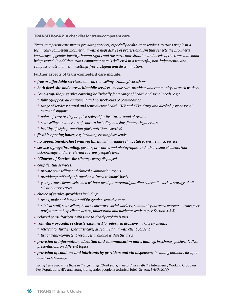

#### TRANSIT Box 4.2 **A checklist for trans-competent care**

*Trans-competent care means providing services, especially health-care services, to trans people in a technically competent manner and with a high degree of professionalism that reflects the provider's knowledge of gender identity, human rights and the particular situation and needs of the trans individual being served. In addition, trans-competent care is delivered in a respectful, non-judgemental and compassionate manner, in settings free of stigma and discrimination.*

**Further aspects of trans-competent care include:**

- **•** *free or affordable services: clinical, counselling, training/workshops*
- **•** *both fixed-site and outreach/mobile services: mobile care-providers and community outreach workers*
- **•** *"one-stop-shop" service catering holistically for a range of health and social needs, e.g.:*
	- **\*** *fully equipped: all equipment and no stock-outs of commodities*
	- **\*** *range of services: sexual and reproductive health, HIV and STIs, drugs and alcohol, psychosocial care and support*
	- **\*** *point-of-care testing or quick referral for fast turnaround of results*
	- **\*** *counselling on all issues of concern including housing, finance, legal issues*
	- **\*** *healthy lifestyle promotion (diet, nutrition, exercise)*
- **•** *flexible opening hours, e.g. including evening/weekends*
- **•** *no appointments/short waiting times, with adequate clinic staff to ensure quick service*
- **•** *service signage/branding, posters, brochures and photographs, and other visual elements that acknowledge and are relevant to trans people's lives*
- **•** *"Charter of Service" for clients, clearly displayed*
- **•** *confidential services:*
	- **\*** *private counselling and clinical examination rooms*
	- **\*** *providers/staff only informed on a "need to know" basis*
	- **\*** *young trans clients welcomed without need for parental/guardian consent\* locked storage of all client notes/records*
- **•** *choice of service-providers including:*
	- **\*** *trans, male and female staff for gender-sensitive care*
	- **\*** *clinical staff, counsellors, health educators, social workers, community outreach workers trans peer navigators to help clients access, understand and navigate services (see Section 4.2.2)*
- **•** *relaxed consultations, with time to clearly explain issues*
- **•** *voluntary procedures clearly explained for informed decision-making by clients:* 
	- **\*** *referral for further specialist care, as required and with client consent*
	- **\*** *list of trans-competent resources available within the area*
- **•** *provision of information, education and communication materials, e.g. brochures, posters, DVDs, presentations on different topics*
- **•** *provision of condoms and lubricants by providers and via dispensers, including outdoors for afterhours accessibility.*

*\* Young trans people are those in the age range 10–24 years, in accordance with the* Interagency Working Group on Key Populations HIV and young transgender people: a technical brief *(Geneva: WHO; 2015)*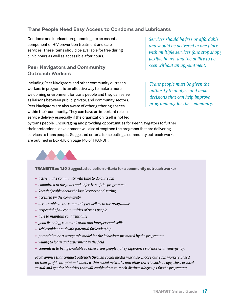## Trans People Need Easy Access to Condoms and Lubricants

Condoms and lubricant programming are an essential component of HIV prevention treatment and care services. These items should be available for free during clinic hours as well as accessible after hours.

## Peer Navigators and Community Outreach Workers

Including Peer Navigators and other community outreach workers in programs is an effective way to make a more welcoming environment for trans people and they can serve as liaisons between public, private, and community sectors. Peer Navigators are also aware of other gathering spaces within their community. They can have an important role in service delivery especially if the organization itself is not led

*Services should be free or affordable and should be delivered in one place with multiple services (one stop shop), flexible hours, and the ability to be seen without an appointment.* 

*Trans people must be given the authority to analyze and make decisions that can help improve programming for the community.*

by trans people. Encouraging and providing opportunities for Peer Navigators to further their professional development will also strengthen the programs that are delivering services to trans people. Suggested criteria for selecting a community outreach worker are outlined in Box 4.10 on page 140 of TRANSIT.



#### TRANSIT Box 4.10 **Suggested selection criteria for a community outreach worker**

- **•** *active in the community with time to do outreach*
- **•** *committed to the goals and objectives of the programme*
- **•** *knowledgeable about the local context and setting*
- **•** *accepted by the community*
- **•** *accountable to the community as well as to the programme*
- **•** *respectful of all communities of trans people*
- **•** *able to maintain confidentiality*
- **•** *good listening, communication and interpersonal skills*
- **•** *self-confident and with potential for leadership*
- **•** *potential to be a strong role model for the behaviour promoted by the programme*
- **•** *willing to learn and experiment in the field*
- **•** *committed to being available to other trans people if they experience violence or an emergency.*

*Programmes that conduct outreach through social media may also choose outreach workers based on their profile as opinion leaders within social networks and other criteria such as age, class or local sexual and gender identities that will enable them to reach distinct subgroups for the programme.*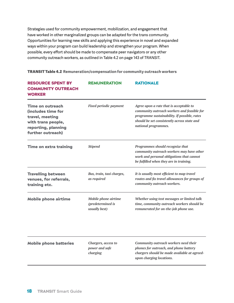Strategies used for community empowerment, mobilization, and engagement that have worked in other marginalized groups can be adapted for the trans community. Opportunities for learning new skills and applying this experience in novel and expanded ways within your program can build leadership and strengthen your program. When possible, every effort should be made to compensate peer navigators or any other community outreach workers, as outlined in Table 4.2 on page 143 of TRANSIT.

| <b>TRANSIT Table 4.2</b> Remuneration/compensation for community outreach workers |  |  |  |  |
|-----------------------------------------------------------------------------------|--|--|--|--|
|-----------------------------------------------------------------------------------|--|--|--|--|

| <b>RESOURCE SPENT BY</b><br><b>COMMUNITY OUTREACH</b><br><b>WORKER</b>                                                             | <b>REMUNERATION</b>                                               | <b>RATIONALE</b>                                                                                                                                                                                              |  |
|------------------------------------------------------------------------------------------------------------------------------------|-------------------------------------------------------------------|---------------------------------------------------------------------------------------------------------------------------------------------------------------------------------------------------------------|--|
| <b>Time on outreach</b><br>(includes time for<br>travel, meeting<br>with trans people,<br>reporting, planning<br>further outreach) | <b>Fixed periodic payment</b>                                     | Agree upon a rate that is acceptable to<br>community outreach workers and feasible for<br>programme sustainability. If possible, rates<br>should be set consistently across state and<br>national programmes. |  |
| <b>Time on extra training</b>                                                                                                      | <b>Stipend</b>                                                    | Programmes should recognize that<br>community outreach workers may have other<br>work and personal obligations that cannot<br>be fulfilled when they are in training.                                         |  |
| <b>Travelling between</b><br>venues, for referrals,<br>training etc.                                                               | Bus, train, taxi charges,<br>as required                          | It is usually most efficient to map travel<br>routes and fix travel allowances for groups of<br>community outreach workers.                                                                                   |  |
| <b>Mobile phone airtime</b>                                                                                                        | <b>Mobile phone airtime</b><br>(predetermined is<br>usually best) | Whether using text messages or limited talk<br>time, community outreach workers should be<br>remunerated for on-the-job phone use.                                                                            |  |
| <b>Mobile phone batteries</b>                                                                                                      | Chargers, access to<br>power and safe<br>charging                 | Community outreach workers need their<br>phones for outreach, and phone battery<br>chargers should be made available at agreed-<br>upon charging locations.                                                   |  |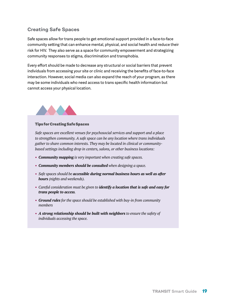## Creating Safe Spaces

Safe spaces allow for trans people to get emotional support provided in a face-to-face community setting that can enhance mental, physical, and social health and reduce their risk for HIV. They also serve as a space for community empowerment and strategizing community responses to stigma, discrimination and transphobia.

Every effort should be made to decrease any structural or social barriers that prevent individuals from accessing your site or clinic and receiving the benefits of face-to-face interaction. However, social media can also expand the reach of your program, as there may be some individuals who need access to trans specific health information but cannot access your physical location.



#### Tips for Creating Safe Spaces

*Safe spaces are excellent venues for psychosocial services and support and a place to strengthen community. A safe space can be any location where trans individuals gather to share common interests. They may be located in clinical or communitybased settings including drop in centers, salons, or other business locations:*

- **•** *Community mapping is very important when creating safe spaces.*
- **•** *Community members should be consulted when designing a space.*
- **•** *Safe spaces should be accessible during normal business hours as well as after hours (nights and weekends).*
- **•** *Careful consideration must be given to identify a location that is safe and easy for trans people to access.*
- **•** *Ground rules for the space should be established with buy-in from community members*
- **•** *A strong relationship should be built with neighbors to ensure the safety of individuals accessing the space.*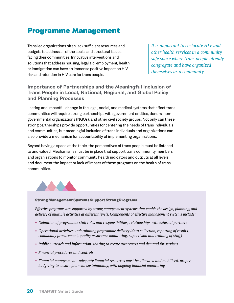## Programme Management

Trans led organizations often lack sufficient resources and budgets to address all of the social and structural issues facing their communities. Innovative interventions and solutions that address housing, legal aid, employment, health or immigration can have an immense positive impact on HIV risk and retention in HIV care for trans people.

*It is important to co-locate HIV and other health services in a community safe space where trans people already congregate and have organized themselves as a community.* 

## Importance of Partnerships and the Meaningful Inclusion of Trans People in Local, National, Regional, and Global Policy and Planning Processes

Lasting and impactful change in the legal, social, and medical systems that affect trans communities will require strong partnerships with government entities, donors, nongovernmental organizations (NGOs), and other civil society groups. Not only can these strong partnerships provide opportunities for centering the needs of trans individuals and communities, but meaningful inclusion of trans individuals and organizations can also provide a mechanism for accountability of implementing organizations.

Beyond having a space at the table, the perspectives of trans people must be listened to and valued. Mechanisms must be in place that support trans community members and organizations to monitor community health indicators and outputs at all levels and document the impact or lack of impact of these programs on the health of trans communities.



#### Strong Management Systems Support Strong Programs

*Effective programs are supported by strong management systems that enable the design, planning, and delivery of multiple activities at different levels. Components of effective management systems include:*

- **•** *Definition of programme staff roles and responsibilities, relationships with external partners*
- **•** *Operational activities underpinning programme delivery (data collection, reporting of results, commodity procurement, quality assurance monitoring, supervision and training of staff)*
- **•** *Public outreach and information-sharing to create awareness and demand for services*
- **•** *Financial procedures and controls*
- **•** *Financial management adequate financial resources must be allocated and mobilized, proper budgeting to ensure financial sustainability, with ongoing financial monitoring*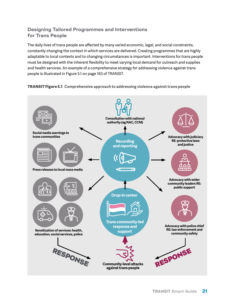## Designing Tailored Programmes and Interventions for Trans People

The daily lives of trans people are affected by many varied economic, legal, and social constraints, constantly changing the context in which services are delivered. Creating programmes that are highly adaptable to local contexts and to changing circumstances is important. Interventions for trans people must be designed with the inherent flexibility to meet varying local demand for outreach and supplies and health services. An example of a comprehensive strategy for addressing violence against trans people is illustrated in Figure 5.1 on page 163 of TRANSIT.

## TRANSIT Figure 5.1 **Comprehensive approach to addressing violence against trans people**

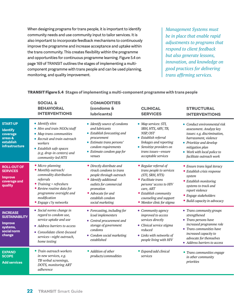When designing programs for trans people, it is important to identify community needs and use community input to tailor services. It is also important to incorporate feedback mechanisms to continuously improve the programme and increase acceptance and uptake within the trans community. This creates flexibility within the programme and opportunities for continuous programme learning. Figure 5.4 on page 169 of TRANSIT outlines the stages of implementing a multicomponent programme with trans people and can be used planning, monitoring, and quality improvement.

*Management Systems must be in place that enable rapid adjustments to programs that respond to client feedback but also generate lessons, innovation, and knowledge on good practices for delivering trans affirming services.* 

|                                                                                                 | <b>SOCIAL &amp;</b><br><b>BEHAVIORAL</b><br><b>INTERVENTIONS</b>                                                                                                                                            | <b>COMMODITIES</b><br>(condoms &<br>lubricants)                                                                                                                                                                | <b>CLINICAL</b><br><b>SERVICES</b>                                                                                                                                                                                  | <b>STRUCTURAL</b><br><b>INTERVENTIONS</b>                                                                                                                                                                                  |
|-------------------------------------------------------------------------------------------------|-------------------------------------------------------------------------------------------------------------------------------------------------------------------------------------------------------------|----------------------------------------------------------------------------------------------------------------------------------------------------------------------------------------------------------------|---------------------------------------------------------------------------------------------------------------------------------------------------------------------------------------------------------------------|----------------------------------------------------------------------------------------------------------------------------------------------------------------------------------------------------------------------------|
| <b>START-UP</b><br><b>Identify</b><br>coverage<br>areas &<br>establish<br>infrastructure        | • Identify sites<br>• Hire and train NGOs/staff<br>• Map trans communities<br>• Recruit and train outreach<br>workers<br>• Establish safe spaces<br>(e.g. drop-in centers) and<br>community-led HTS         | • Identify source of condoms<br>and lubricants<br>• Establish forecasting and<br>procurement<br>• Estimate trans persons'<br>condom requirements<br>• Estimate condom gap for<br>venues                        | • Map services: STI,<br>SRH, HTS, ARV, TB,<br>NSP, OST<br>• Establish referral<br>linkages and reporting<br>• Sensitize providers on<br>trans issues-ensure<br>acceptable services                                  | • Conduct environmental risk<br>assessment. Analyze key<br>issues: e.g. discrimination,<br>harrassment, violence<br>• Prioritize and develop<br>mitigation plan<br>• Work with local police to<br>facilitate outreach work |
| <b>ROLL-OUT OF</b><br><b>SERVICES</b><br><b>Improve</b><br>coverage and<br>quality              | • Micro-planning<br>• Monthly outreach/<br>commodity distribution<br>referrals<br>• Training + refreshers<br>• Review routine data for<br>programme oversight and<br>modification<br>• Engage c'ty networks | • Directly distribute and<br>rtrack condoms to trans<br>people throiugh outreach<br>• Identify additional<br>outlets for commercial<br>promotion<br>• Advocate for and<br>establish condom<br>social marketing | • Regular referral of<br>trans people to services<br>(STI, SRH, HTS)<br>• Facilitate trans<br>persons' access to HIV<br>care, ART<br>• Establish community<br>counseling and support<br>· Monitor clinic for stigma | • Ensure trans legal iteracy<br>• Establish crisis response<br>system<br>• Establish monitoring<br>systems to track and<br>report violence<br>• Engage stakeholders<br>• Build capacity in advocacy                        |
| <b>INCREASE</b><br><b>SUSTAINABILITY</b><br><b>Improve</b><br>systems,<br>social norm<br>change | • Social norms change in<br>regard to condom use,<br>service uptake and use<br>• Address barriers to access<br>• Consolidate client-focused<br>services-night outreach,<br>home testing                     | • Forecasting, including for<br>lcoal implementers<br>• Central procurement and<br>storage of government<br>condoms<br>• Condom social marketing<br>established                                                | • Community agency<br>improved to access<br>services directly<br>• Clinical service stigma<br>reduced<br>• Links with networks of<br>people living with HIV                                                         | • Trans community groups<br>strengthened<br>• Trans persons have<br>increased programme role<br>• Trans communities have<br>increased capacity to<br>advocate for themselves<br>• Address barriers to access               |
| <b>EXPAND</b><br><b>SCOPE</b><br><b>Add services</b>                                            | • Train outreach workers<br>in new services, e.g.<br>TB verbal screenings,<br>DOTS, monitoring ART<br>adherence                                                                                             | • Addition of other<br>products/commodities                                                                                                                                                                    | • Expand/add clinical<br>services                                                                                                                                                                                   | • Trans communities engage<br>in other community<br>priorities                                                                                                                                                             |

## TRANSIT Figure 5.4 **Stages of implementing a multi-component programme with trans people**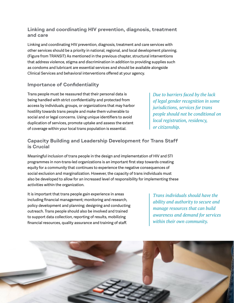## Linking and coordinating HIV prevention, diagnosis, treatment and care

Linking and coordinating HIV prevention, diagnosis, treatment and care services with other services should be a priority in national, regional, and local development planning. (Figure from TRANSIT) As mentioned in the previous chapter, structural interventions that address violence, stigma and discrimination in addition to providing supplies such as condoms and lubricant are essential services and should be available alongside Clinical Services and behavioral interventions offered at your agency.

## Importance of Confidentiality

Trans people must be reassured that their personal data is being handled with strict confidentiality and protected from access by individuals, groups, or organizations that may harbor hostility towards trans people and make them vulnerable to social and or legal concerns. Using unique identifiers to avoid duplication of services, promote uptake and assess the extent of coverage within your local trans population is essential.

## Capacity Building and Leadership Development for Trans Staff is Crucial

Meaningful inclusion of trans people in the design and implementation of HIV and STI programmes in non-trans-led organizations is an important first step towards creating equity for a community that continues to experience the negative consequences of social exclusion and marginalization. However, the capacity of trans individuals must also be developed to allow for an increased level of responsibility for implementing these activities within the organization.

It is important that trans people gain experience in areas including financial management; monitoring and research, policy development and planning; designing and conducting outreach. Trans people should also be involved and trained to support data collection, reporting of results, mobilizing financial resources, quality assurance and training of staff.

*Due to barriers faced by the lack of legal gender recognition in some jurisdictions, services for trans people should not be conditional on local registration, residency, or citizenship.* 

*Trans individuals should have the ability and authority to secure and manage resources that can build awareness and demand for services within their own community.*

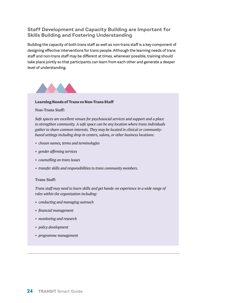## Staff Development and Capacity Building are Important for Skills Building and Fostering Understanding

Building the capacity of both trans staff as well as non-trans staff is a key component of designing effective interventions for trans people. Although the learning needs of trans staff and non-trans staff may be different at times, whenever possible, training should take place jointly so that participants can learn from each other and generate a deeper level of understanding.



#### Learning Needs of Trans vs Non-Trans Staff

#### **Non-Trans Staff:**

*Safe spaces are excellent venues for psychosocial services and support and a place to strengthen community. A safe space can be any location where trans individuals gather to share common interests. They may be located in clinical or communitybased settings including drop in centers, salons, or other business locations:*

- **•** *chosen names, terms and terminologies*
- **•** *gender affirming services*
- **•** *counselling on trans issues*
- **•** *transfer skills and responsibilities to trans community members.*

#### **Trans Staff:**

*Trans staff may need to learn skills and get hands-on experience in a wide range of roles within the organization including:*

- **•** *conducting and managing outreach*
- **•** *financial management*
- **•** *monitoring and research*
- **•** *policy development*
- **•** *programme management*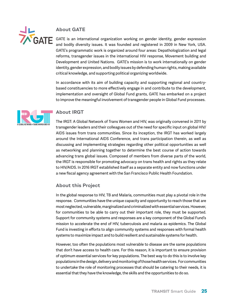

## About GATE

GATE is an international organization working on gender identity, gender expression and bodily diversity issues. It was founded and registered in 2009 in New York, USA. GATE's programmatic work is organized around four areas: Depathologization and legal reforms, transgender issues in the international HIV response, Movement building and Development and United Nations. GATE's mission is to work internationally on gender identity, gender expression, and bodily issues by defending human rights, making available critical knowledge, and supporting political organizing worldwide.

In accordance with its aim of building capacity and supporting regional and countrybased constituencies to more effectively engage in and contribute to the development, implementation and oversight of Global Fund grants, GATE has embarked on a project to improve the meaningful involvement of transgender people in Global Fund processes.



## About IRGT

The IRGT: A Global Network of Trans Women and HIV, was originally convened in 2011 by transgender leaders and their colleagues out of the need for specific input on global HIV/ AIDS issues from trans communities. Since its inception, the IRGT has worked largely around the International AIDS Conference, and trans participation therein, as well as discussing and implementing strategies regarding other political opportunities as well as networking and planning together to determine the best course of action towards advancing trans global issues. Composed of members from diverse parts of the world, the IRGT is responsible for promoting advocacy on trans health and rights as they relate to HIV/AIDS. In 2016 IRGT established itself as a separate entity and now functions under a new fiscal agency agreement with the San Francisco Public Health Foundation.

## About this Project

In the global response to HIV, TB and Malaria, communities must play a pivotal role in the response. Communities have the unique capacity and opportunity to reach those that are most neglected, vulnerable, marginalized and criminalized with essential services. However, for communities to be able to carry out their important role, they must be supported. Support for community systems and responses are a key component of the Global Fund's mission to accelerate the end of HIV, tuberculosis and malaria as epidemics. The Global Fund is investing in efforts to align community systems and responses with formal health systems to maximize impact and to build resilient and sustainable systems for health.

However, too often the populations most vulnerable to disease are the same populations that don't have access to health care. For this reason, it is important to ensure provision of optimum essential services for key populations. The best way to do this is to involve key populations in the design, delivery and monitoring of those health services. For communities to undertake the role of monitoring processes that should be catering to their needs, it is essential that they have the knowledge, the skills and the opportunities to do so.